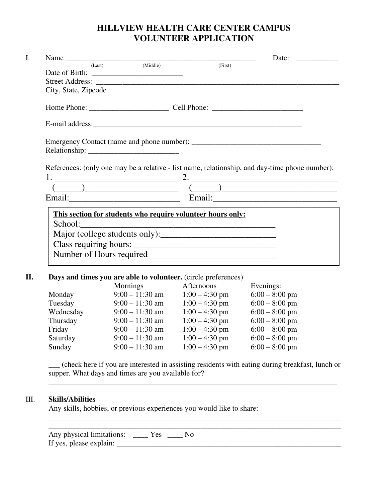## **HILLVIEW HEALTH CARE CENTER CAMPUS VOLUNTEER APPLICATION**

|                      |  |                                                                                                                                                                                                                                                                                                                                                                    | Date: $\frac{1}{\sqrt{1-\frac{1}{2}} \cdot \frac{1}{\sqrt{1-\frac{1}{2}}}}$ |  |
|----------------------|--|--------------------------------------------------------------------------------------------------------------------------------------------------------------------------------------------------------------------------------------------------------------------------------------------------------------------------------------------------------------------|-----------------------------------------------------------------------------|--|
|                      |  | Name (Last) (Middle) (First)                                                                                                                                                                                                                                                                                                                                       |                                                                             |  |
|                      |  |                                                                                                                                                                                                                                                                                                                                                                    |                                                                             |  |
|                      |  |                                                                                                                                                                                                                                                                                                                                                                    |                                                                             |  |
| City, State, Zipcode |  |                                                                                                                                                                                                                                                                                                                                                                    |                                                                             |  |
|                      |  |                                                                                                                                                                                                                                                                                                                                                                    |                                                                             |  |
|                      |  |                                                                                                                                                                                                                                                                                                                                                                    |                                                                             |  |
|                      |  |                                                                                                                                                                                                                                                                                                                                                                    |                                                                             |  |
|                      |  |                                                                                                                                                                                                                                                                                                                                                                    |                                                                             |  |
|                      |  | References: (only one may be a relative - list name, relationship, and day-time phone number):                                                                                                                                                                                                                                                                     |                                                                             |  |
|                      |  |                                                                                                                                                                                                                                                                                                                                                                    |                                                                             |  |
|                      |  |                                                                                                                                                                                                                                                                                                                                                                    |                                                                             |  |
|                      |  | $\begin{picture}(150,10) \put(0,0){\vector(1,0){100}} \put(15,0){\vector(1,0){100}} \put(15,0){\vector(1,0){100}} \put(15,0){\vector(1,0){100}} \put(15,0){\vector(1,0){100}} \put(15,0){\vector(1,0){100}} \put(15,0){\vector(1,0){100}} \put(15,0){\vector(1,0){100}} \put(15,0){\vector(1,0){100}} \put(15,0){\vector(1,0){100}} \put(15,0){\vector(1,0){100}}$ |                                                                             |  |
|                      |  |                                                                                                                                                                                                                                                                                                                                                                    |                                                                             |  |
|                      |  | This section for students who require volunteer hours only:                                                                                                                                                                                                                                                                                                        |                                                                             |  |
|                      |  |                                                                                                                                                                                                                                                                                                                                                                    |                                                                             |  |
|                      |  |                                                                                                                                                                                                                                                                                                                                                                    |                                                                             |  |
|                      |  |                                                                                                                                                                                                                                                                                                                                                                    |                                                                             |  |

| ********** |                   | $1.00$ $1.00$ $0.01$ | $0.00$ $0.00$ $\rho$ $\mu$ 111 |
|------------|-------------------|----------------------|--------------------------------|
| Tuesday    | $9:00 - 11:30$ am | $1:00 - 4:30$ pm     | $6:00 - 8:00$ pm               |
| Wednesday  | $9:00 - 11:30$ am | $1:00 - 4:30$ pm     | $6:00 - 8:00$ pm               |
| Thursday   | $9:00 - 11:30$ am | $1:00 - 4:30$ pm     | $6:00 - 8:00$ pm               |
| Friday     | $9:00 - 11:30$ am | $1:00 - 4:30$ pm     | $6:00 - 8:00$ pm               |
| Saturday   | $9:00 - 11:30$ am | $1:00 - 4:30$ pm     | $6:00 - 8:00$ pm               |
| Sunday     | $9:00 - 11:30$ am | $1:00 - 4:30$ pm     | $6:00 - 8:00$ pm               |
|            |                   |                      |                                |

\_\_\_ (check here if you are interested in assisting residents with eating during breakfast, lunch or supper. What days and times are you available for?

\_\_\_\_\_\_\_\_\_\_\_\_\_\_\_\_\_\_\_\_\_\_\_\_\_\_\_\_\_\_\_\_\_\_\_\_\_\_\_\_\_\_\_\_\_\_\_\_\_\_\_\_\_\_\_\_\_\_\_\_\_\_\_\_\_\_\_\_\_\_\_\_\_\_\_\_

## III. **Skills/Abilities**

Any skills, hobbies, or previous experiences you would like to share:

| Any physical limitations: | Y es |  |
|---------------------------|------|--|
| If yes, please explain:   |      |  |

\_\_\_\_\_\_\_\_\_\_\_\_\_\_\_\_\_\_\_\_\_\_\_\_\_\_\_\_\_\_\_\_\_\_\_\_\_\_\_\_\_\_\_\_\_\_\_\_\_\_\_\_\_\_\_\_\_\_\_\_\_\_\_\_\_\_\_\_\_\_\_\_\_\_\_\_\_